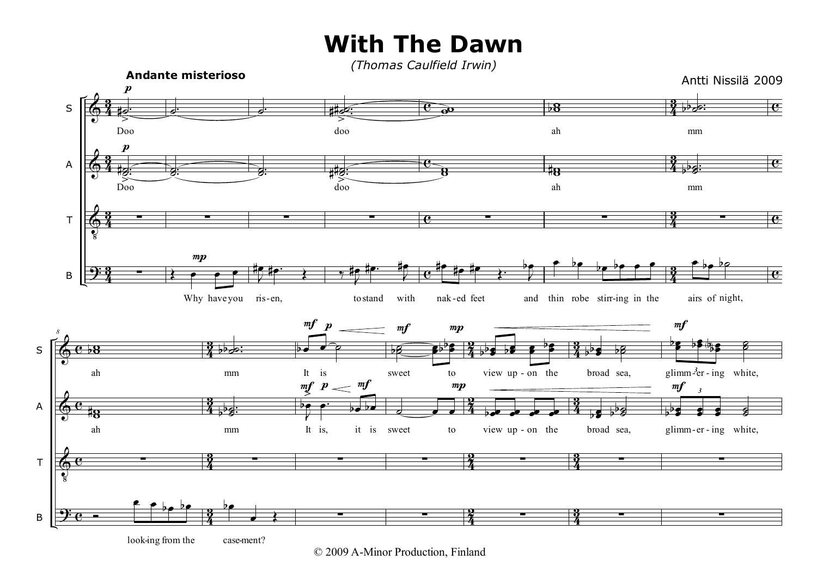## **With The Dawn**

*(Thomas Caulfield Irwin)*



© 2009 A-Minor Production, Finland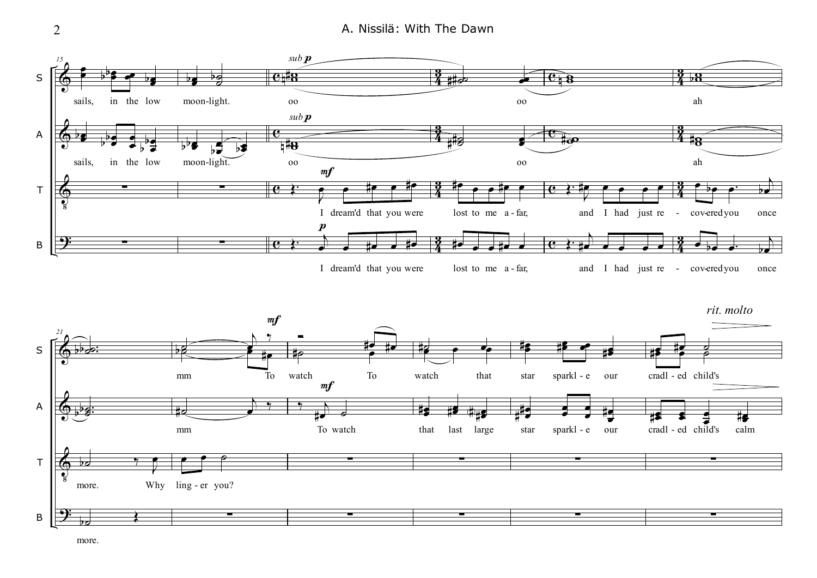2 **A. Nissilä: With The Dawn** 



more.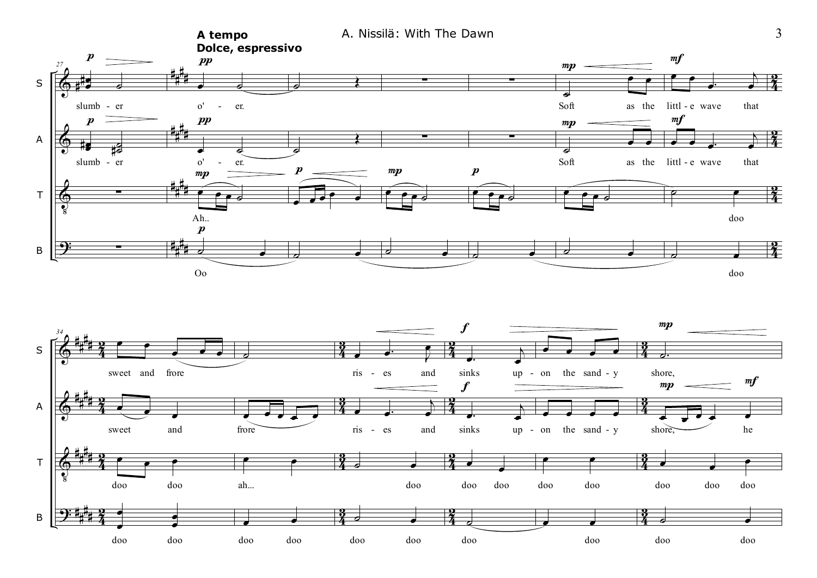

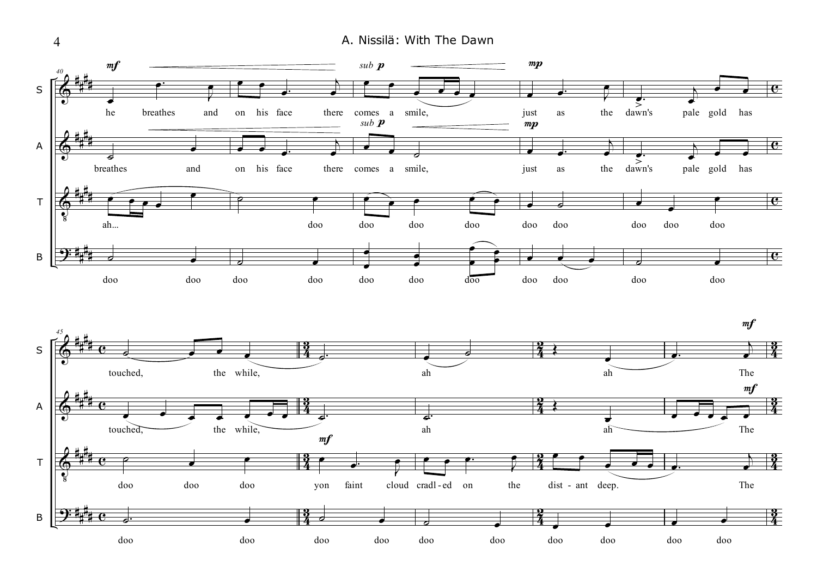4 A. Nissilä: With The Dawn

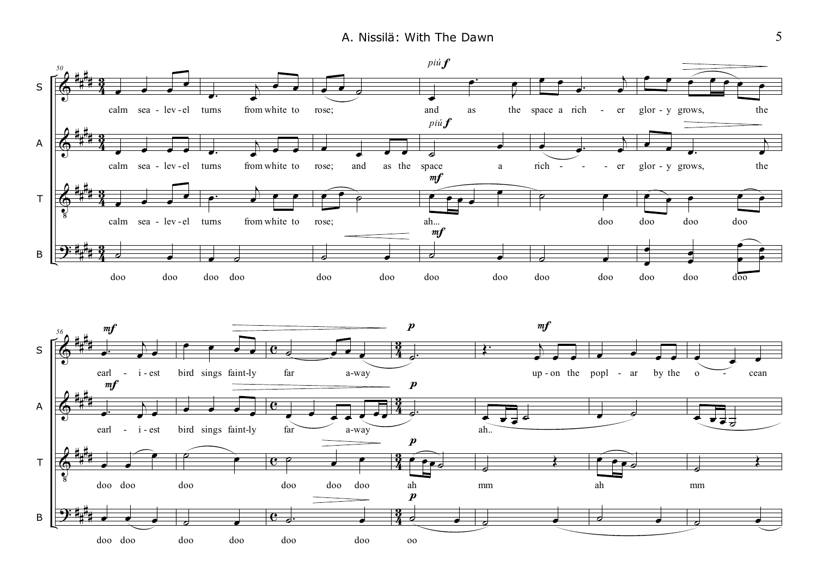